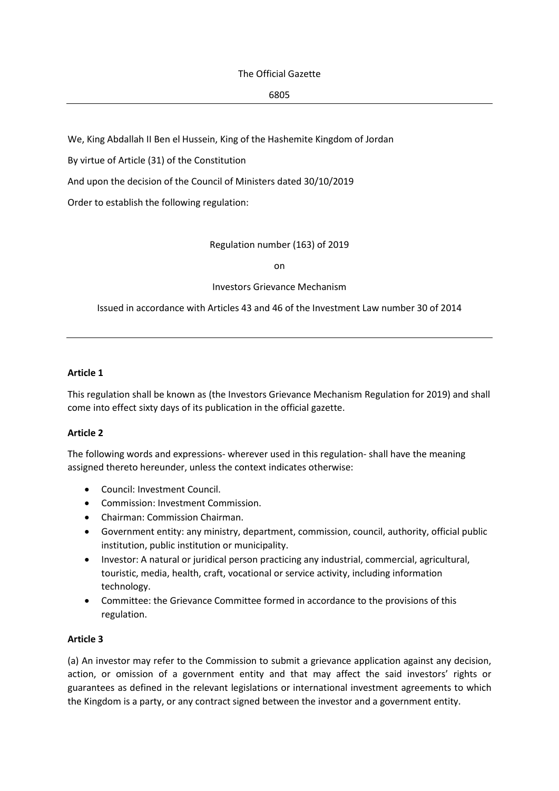#### The Official Gazette

#### 6805

We, King Abdallah II Ben el Hussein, King of the Hashemite Kingdom of Jordan

By virtue of Article (31) of the Constitution

And upon the decision of the Council of Ministers dated 30/10/2019

Order to establish the following regulation:

Regulation number (163) of 2019

on

#### Investors Grievance Mechanism

Issued in accordance with Articles 43 and 46 of the Investment Law number 30 of 2014

### **Article 1**

This regulation shall be known as (the Investors Grievance Mechanism Regulation for 2019) and shall come into effect sixty days of its publication in the official gazette.

#### **Article 2**

The following words and expressions- wherever used in this regulation- shall have the meaning assigned thereto hereunder, unless the context indicates otherwise:

- Council: Investment Council.
- Commission: Investment Commission.
- Chairman: Commission Chairman.
- Government entity: any ministry, department, commission, council, authority, official public institution, public institution or municipality.
- Investor: A natural or juridical person practicing any industrial, commercial, agricultural, touristic, media, health, craft, vocational or service activity, including information technology.
- Committee: the Grievance Committee formed in accordance to the provisions of this regulation.

## **Article 3**

(a) An investor may refer to the Commission to submit a grievance application against any decision, action, or omission of a government entity and that may affect the said investors' rights or guarantees as defined in the relevant legislations or international investment agreements to which the Kingdom is a party, or any contract signed between the investor and a government entity.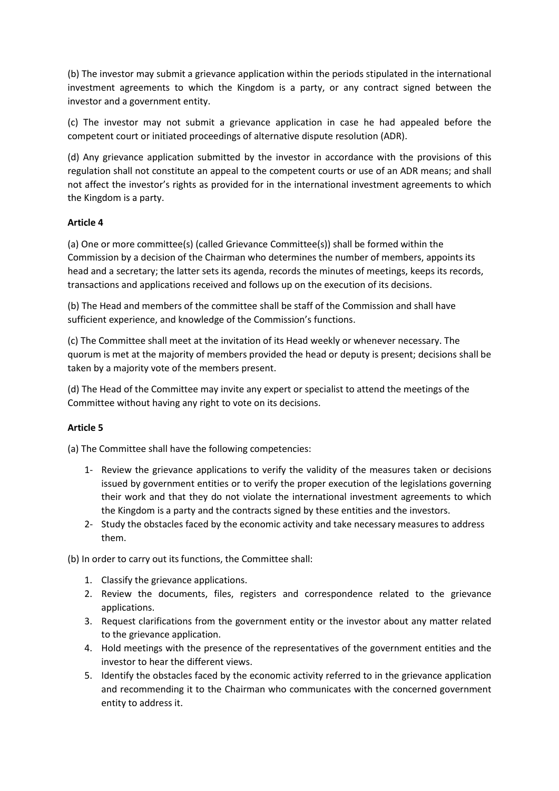(b) The investor may submit a grievance application within the periods stipulated in the international investment agreements to which the Kingdom is a party, or any contract signed between the investor and a government entity.

(c) The investor may not submit a grievance application in case he had appealed before the competent court or initiated proceedings of alternative dispute resolution (ADR).

(d) Any grievance application submitted by the investor in accordance with the provisions of this regulation shall not constitute an appeal to the competent courts or use of an ADR means; and shall not affect the investor's rights as provided for in the international investment agreements to which the Kingdom is a party.

# **Article 4**

(a) One or more committee(s) (called Grievance Committee(s)) shall be formed within the Commission by a decision of the Chairman who determines the number of members, appoints its head and a secretary; the latter sets its agenda, records the minutes of meetings, keeps its records, transactions and applications received and follows up on the execution of its decisions.

(b) The Head and members of the committee shall be staff of the Commission and shall have sufficient experience, and knowledge of the Commission's functions.

(c) The Committee shall meet at the invitation of its Head weekly or whenever necessary. The quorum is met at the majority of members provided the head or deputy is present; decisions shall be taken by a majority vote of the members present.

(d) The Head of the Committee may invite any expert or specialist to attend the meetings of the Committee without having any right to vote on its decisions.

# **Article 5**

(a) The Committee shall have the following competencies:

- 1- Review the grievance applications to verify the validity of the measures taken or decisions issued by government entities or to verify the proper execution of the legislations governing their work and that they do not violate the international investment agreements to which the Kingdom is a party and the contracts signed by these entities and the investors.
- 2- Study the obstacles faced by the economic activity and take necessary measures to address them.

(b) In order to carry out its functions, the Committee shall:

- 1. Classify the grievance applications.
- 2. Review the documents, files, registers and correspondence related to the grievance applications.
- 3. Request clarifications from the government entity or the investor about any matter related to the grievance application.
- 4. Hold meetings with the presence of the representatives of the government entities and the investor to hear the different views.
- 5. Identify the obstacles faced by the economic activity referred to in the grievance application and recommending it to the Chairman who communicates with the concerned government entity to address it.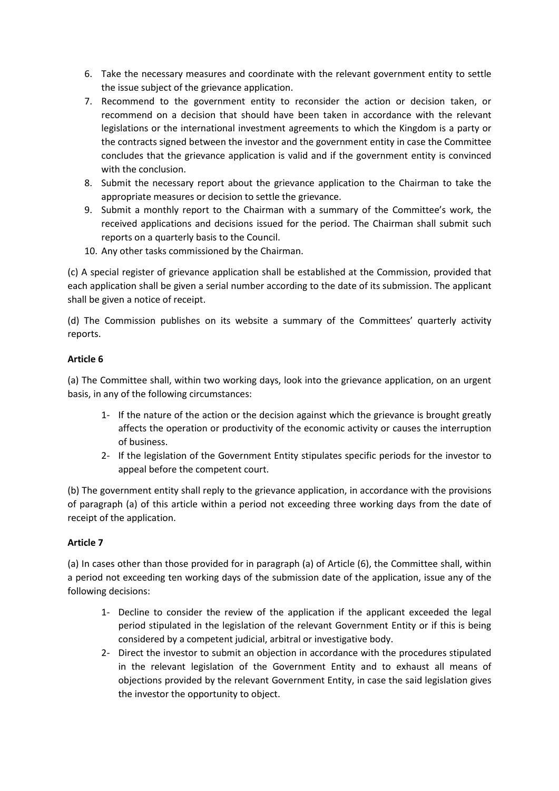- 6. Take the necessary measures and coordinate with the relevant government entity to settle the issue subject of the grievance application.
- 7. Recommend to the government entity to reconsider the action or decision taken, or recommend on a decision that should have been taken in accordance with the relevant legislations or the international investment agreements to which the Kingdom is a party or the contracts signed between the investor and the government entity in case the Committee concludes that the grievance application is valid and if the government entity is convinced with the conclusion.
- 8. Submit the necessary report about the grievance application to the Chairman to take the appropriate measures or decision to settle the grievance.
- 9. Submit a monthly report to the Chairman with a summary of the Committee's work, the received applications and decisions issued for the period. The Chairman shall submit such reports on a quarterly basis to the Council.
- 10. Any other tasks commissioned by the Chairman.

(c) A special register of grievance application shall be established at the Commission, provided that each application shall be given a serial number according to the date of its submission. The applicant shall be given a notice of receipt.

(d) The Commission publishes on its website a summary of the Committees' quarterly activity reports.

# **Article 6**

(a) The Committee shall, within two working days, look into the grievance application, on an urgent basis, in any of the following circumstances:

- 1- If the nature of the action or the decision against which the grievance is brought greatly affects the operation or productivity of the economic activity or causes the interruption of business.
- 2- If the legislation of the Government Entity stipulates specific periods for the investor to appeal before the competent court.

(b) The government entity shall reply to the grievance application, in accordance with the provisions of paragraph (a) of this article within a period not exceeding three working days from the date of receipt of the application.

# **Article 7**

(a) In cases other than those provided for in paragraph (a) of Article (6), the Committee shall, within a period not exceeding ten working days of the submission date of the application, issue any of the following decisions:

- 1- Decline to consider the review of the application if the applicant exceeded the legal period stipulated in the legislation of the relevant Government Entity or if this is being considered by a competent judicial, arbitral or investigative body.
- 2- Direct the investor to submit an objection in accordance with the procedures stipulated in the relevant legislation of the Government Entity and to exhaust all means of objections provided by the relevant Government Entity, in case the said legislation gives the investor the opportunity to object.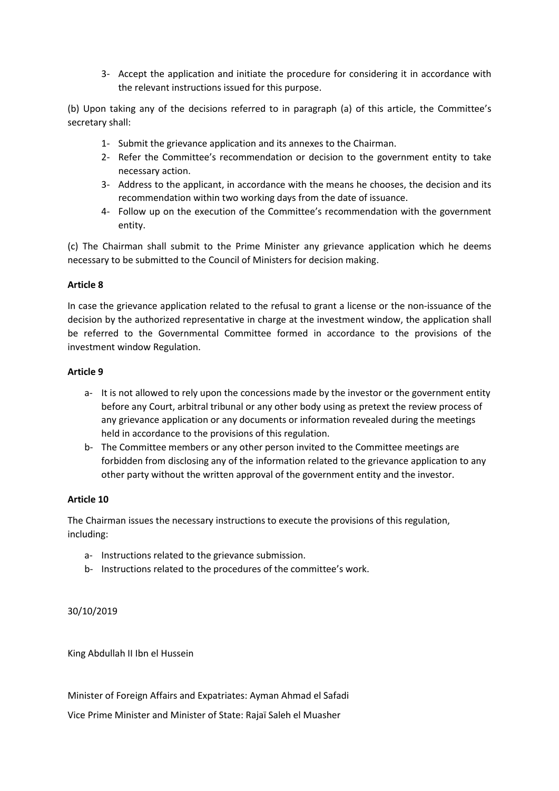3- Accept the application and initiate the procedure for considering it in accordance with the relevant instructions issued for this purpose.

(b) Upon taking any of the decisions referred to in paragraph (a) of this article, the Committee's secretary shall:

- 1- Submit the grievance application and its annexes to the Chairman.
- 2- Refer the Committee's recommendation or decision to the government entity to take necessary action.
- 3- Address to the applicant, in accordance with the means he chooses, the decision and its recommendation within two working days from the date of issuance.
- 4- Follow up on the execution of the Committee's recommendation with the government entity.

(c) The Chairman shall submit to the Prime Minister any grievance application which he deems necessary to be submitted to the Council of Ministers for decision making.

## **Article 8**

In case the grievance application related to the refusal to grant a license or the non-issuance of the decision by the authorized representative in charge at the investment window, the application shall be referred to the Governmental Committee formed in accordance to the provisions of the investment window Regulation.

## **Article 9**

- a- It is not allowed to rely upon the concessions made by the investor or the government entity before any Court, arbitral tribunal or any other body using as pretext the review process of any grievance application or any documents or information revealed during the meetings held in accordance to the provisions of this regulation.
- b- The Committee members or any other person invited to the Committee meetings are forbidden from disclosing any of the information related to the grievance application to any other party without the written approval of the government entity and the investor.

### **Article 10**

The Chairman issues the necessary instructions to execute the provisions of this regulation, including:

- a- Instructions related to the grievance submission.
- b- Instructions related to the procedures of the committee's work.

### 30/10/2019

King Abdullah II Ibn el Hussein

Minister of Foreign Affairs and Expatriates: Ayman Ahmad el Safadi

Vice Prime Minister and Minister of State: Rajaï Saleh el Muasher